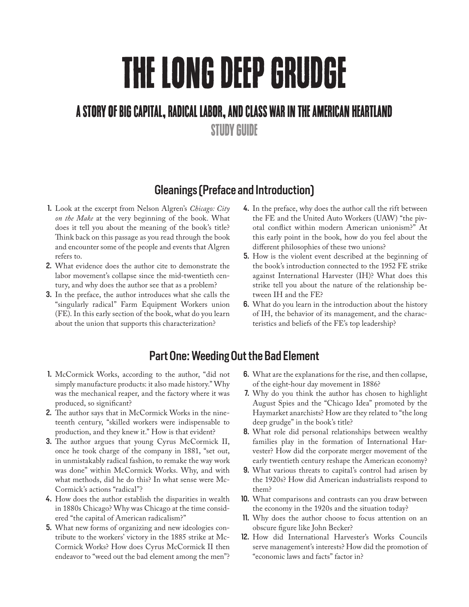# THE LONG DEEP GRUDGE

# A STORY OF BIG CAPITAL, RADICAL LABOR, AND CLASS WAR IN THE AMERICAN HEARTLAND

STUDY GUIDE

## Gleanings (Preface and Introduction)

- 1. Look at the excerpt from Nelson Algren's *Chicago: City on the Make* at the very beginning of the book. What does it tell you about the meaning of the book's title? Think back on this passage as you read through the book and encounter some of the people and events that Algren refers to.
- 2. What evidence does the author cite to demonstrate the labor movement's collapse since the mid-twentieth century, and why does the author see that as a problem?
- 3. In the preface, the author introduces what she calls the "singularly radical" Farm Equipment Workers union (FE). In this early section of the book, what do you learn about the union that supports this characterization?
- 4. In the preface, why does the author call the rift between the FE and the United Auto Workers (UAW) "the pivotal conflict within modern American unionism?" At this early point in the book, how do you feel about the different philosophies of these two unions?
- 5. How is the violent event described at the beginning of the book's introduction connected to the 1952 FE strike against International Harvester (IH)? What does this strike tell you about the nature of the relationship between IH and the FE?
- 6. What do you learn in the introduction about the history of IH, the behavior of its management, and the characteristics and beliefs of the FE's top leadership?

# Part One: Weeding Out the Bad Element

- 1. McCormick Works, according to the author, "did not simply manufacture products: it also made history." Why was the mechanical reaper, and the factory where it was produced, so significant?
- 2. The author says that in McCormick Works in the nineteenth century, "skilled workers were indispensable to production, and they knew it." How is that evident?
- 3. The author argues that young Cyrus McCormick II, once he took charge of the company in 1881, "set out, in unmistakably radical fashion, to remake the way work was done" within McCormick Works. Why, and with what methods, did he do this? In what sense were Mc-Cormick's actions "radical"?
- 4. How does the author establish the disparities in wealth in 1880s Chicago? Why was Chicago at the time considered "the capital of American radicalism?"
- 5. What new forms of organizing and new ideologies contribute to the workers' victory in the 1885 strike at Mc-Cormick Works? How does Cyrus McCormick II then endeavor to "weed out the bad element among the men"?
- 6. What are the explanations for the rise, and then collapse, of the eight-hour day movement in 1886?
- 7. Why do you think the author has chosen to highlight August Spies and the "Chicago Idea" promoted by the Haymarket anarchists? How are they related to "the long deep grudge" in the book's title?
- 8. What role did personal relationships between wealthy families play in the formation of International Harvester? How did the corporate merger movement of the early twentieth century reshape the American economy?
- 9. What various threats to capital's control had arisen by the 1920s? How did American industrialists respond to them?
- 10. What comparisons and contrasts can you draw between the economy in the 1920s and the situation today?
- 11. Why does the author choose to focus attention on an obscure figure like John Becker?
- 12. How did International Harvester's Works Councils serve management's interests? How did the promotion of "economic laws and facts" factor in?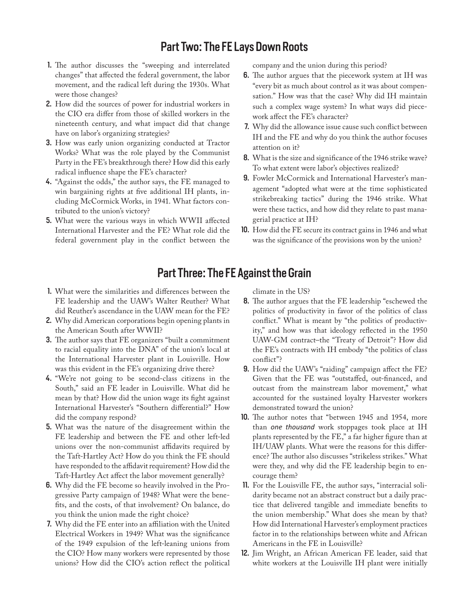### Part Two: The FE Lays Down Roots

- 1. The author discusses the "sweeping and interrelated changes" that affected the federal government, the labor movement, and the radical left during the 1930s. What were those changes?
- 2. How did the sources of power for industrial workers in the CIO era differ from those of skilled workers in the nineteenth century, and what impact did that change have on labor's organizing strategies?
- 3. How was early union organizing conducted at Tractor Works? What was the role played by the Communist Party in the FE's breakthrough there? How did this early radical influence shape the FE's character?
- 4. "Against the odds," the author says, the FE managed to win bargaining rights at five additional IH plants, including McCormick Works, in 1941. What factors contributed to the union's victory?
- 5. What were the various ways in which WWII affected International Harvester and the FE? What role did the federal government play in the conflict between the

company and the union during this period?

- 6. The author argues that the piecework system at IH was "every bit as much about control as it was about compensation." How was that the case? Why did IH maintain such a complex wage system? In what ways did piecework affect the FE's character?
- 7. Why did the allowance issue cause such conflict between IH and the FE and why do you think the author focuses attention on it?
- 8. What is the size and significance of the 1946 strike wave? To what extent were labor's objectives realized?
- 9. Fowler McCormick and International Harvester's management "adopted what were at the time sophisticated strikebreaking tactics" during the 1946 strike. What were these tactics, and how did they relate to past managerial practice at IH?
- 10. How did the FE secure its contract gains in 1946 and what was the significance of the provisions won by the union?

#### Part Three: The FE Against the Grain

- 1. What were the similarities and differences between the FE leadership and the UAW's Walter Reuther? What did Reuther's ascendance in the UAW mean for the FE?
- 2. Why did American corporations begin opening plants in the American South after WWII?
- 3. The author says that FE organizers "built a commitment to racial equality into the DNA" of the union's local at the International Harvester plant in Louisville. How was this evident in the FE's organizing drive there?
- 4. "We're not going to be second-class citizens in the South," said an FE leader in Louisville. What did he mean by that? How did the union wage its fight against International Harvester's "Southern differential?" How did the company respond?
- 5. What was the nature of the disagreement within the FE leadership and between the FE and other left-led unions over the non-communist affidavits required by the Taft-Hartley Act? How do you think the FE should have responded to the affidavit requirement? How did the Taft-Hartley Act affect the labor movement generally?
- 6. Why did the FE become so heavily involved in the Progressive Party campaign of 1948? What were the benefits, and the costs, of that involvement? On balance, do you think the union made the right choice?
- 7. Why did the FE enter into an affiliation with the United Electrical Workers in 1949? What was the significance of the 1949 expulsion of the left-leaning unions from the CIO? How many workers were represented by those unions? How did the CIO's action reflect the political

climate in the US?

- 8. The author argues that the FE leadership "eschewed the politics of productivity in favor of the politics of class conflict." What is meant by "the politics of productivity," and how was that ideology reflected in the 1950 UAW-GM contract–the "Treaty of Detroit"? How did the FE's contracts with IH embody "the politics of class conflict"?
- 9. How did the UAW's "raiding" campaign affect the FE? Given that the FE was "outstaffed, out-financed, and outcast from the mainstream labor movement," what accounted for the sustained loyalty Harvester workers demonstrated toward the union?
- 10. The author notes that "between 1945 and 1954, more than *one thousand* work stoppages took place at IH plants represented by the FE," a far higher figure than at IH/UAW plants. What were the reasons for this difference? The author also discusses "strikeless strikes." What were they, and why did the FE leadership begin to encourage them?
- 11. For the Louisville FE, the author says, "interracial solidarity became not an abstract construct but a daily practice that delivered tangible and immediate benefits to the union membership." What does she mean by that? How did International Harvester's employment practices factor in to the relationships between white and African Americans in the FE in Louisville?
- 12. Jim Wright, an African American FE leader, said that white workers at the Louisville IH plant were initially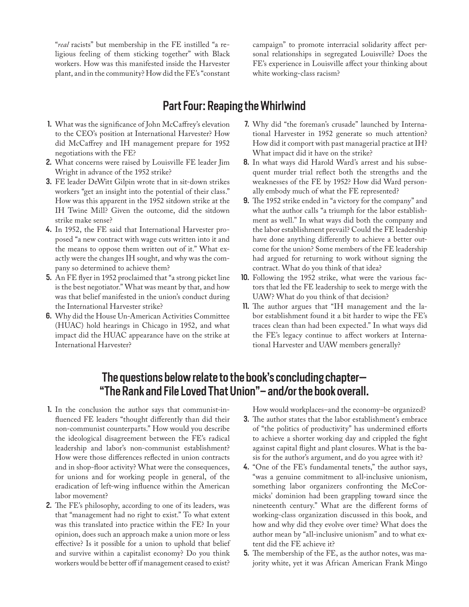"*real* racists" but membership in the FE instilled "a religious feeling of them sticking together" with Black workers. How was this manifested inside the Harvester plant, and in the community? How did the FE's "constant campaign" to promote interracial solidarity affect personal relationships in segregated Louisville? Does the FE's experience in Louisville affect your thinking about white working-class racism?

#### Part Four: Reaping the Whirlwind

- 1. What was the significance of John McCaffrey's elevation to the CEO's position at International Harvester? How did McCaffrey and IH management prepare for 1952 negotiations with the FE?
- 2. What concerns were raised by Louisville FE leader Jim Wright in advance of the 1952 strike?
- 3. FE leader DeWitt Gilpin wrote that in sit-down strikes workers "get an insight into the potential of their class." How was this apparent in the 1952 sitdown strike at the IH Twine Mill? Given the outcome, did the sitdown strike make sense?
- 4. In 1952, the FE said that International Harvester proposed "a new contract with wage cuts written into it and the means to oppose them written out of it." What exactly were the changes IH sought, and why was the company so determined to achieve them?
- 5. An FE flyer in 1952 proclaimed that "a strong picket line is the best negotiator." What was meant by that, and how was that belief manifested in the union's conduct during the International Harvester strike?
- 6. Why did the House Un-American Activities Committee (HUAC) hold hearings in Chicago in 1952, and what impact did the HUAC appearance have on the strike at International Harvester?
- 7. Why did "the foreman's crusade" launched by International Harvester in 1952 generate so much attention? How did it comport with past managerial practice at IH? What impact did it have on the strike?
- 8. In what ways did Harold Ward's arrest and his subsequent murder trial reflect both the strengths and the weaknesses of the FE by 1952? How did Ward personally embody much of what the FE represented?
- 9. The 1952 strike ended in "a victory for the company" and what the author calls "a triumph for the labor establishment as well." In what ways did both the company and the labor establishment prevail? Could the FE leadership have done anything differently to achieve a better outcome for the union? Some members of the FE leadership had argued for returning to work without signing the contract. What do you think of that idea?
- 10. Following the 1952 strike, what were the various factors that led the FE leadership to seek to merge with the UAW? What do you think of that decision?
- 11. The author argues that "IH management and the labor establishment found it a bit harder to wipe the FE's traces clean than had been expected." In what ways did the FE's legacy continue to affect workers at International Harvester and UAW members generally?

#### The questions below relate to the book's concluding chapter— "The Rank and File Loved That Union"– and/or the book overall.

- 1. In the conclusion the author says that communist-influenced FE leaders "thought differently than did their non-communist counterparts." How would you describe the ideological disagreement between the FE's radical leadership and labor's non-communist establishment? How were those differences reflected in union contracts and in shop-floor activity? What were the consequences, for unions and for working people in general, of the eradication of left-wing influence within the American labor movement?
- 2. The FE's philosophy, according to one of its leaders, was that "management had no right to exist." To what extent was this translated into practice within the FE? In your opinion, does such an approach make a union more or less effective? Is it possible for a union to uphold that belief and survive within a capitalist economy? Do you think workers would be better off if management ceased to exist?

How would workplaces–and the economy–be organized?

- 3. The author states that the labor establishment's embrace of "the politics of productivity" has undermined efforts to achieve a shorter working day and crippled the fight against capital flight and plant closures. What is the basis for the author's argument, and do you agree with it?
- 4. "One of the FE's fundamental tenets," the author says, "was a genuine commitment to all-inclusive unionism, something labor organizers confronting the McCormicks' dominion had been grappling toward since the nineteenth century." What are the different forms of working-class organization discussed in this book, and how and why did they evolve over time? What does the author mean by "all-inclusive unionism" and to what extent did the FE achieve it?
- 5. The membership of the FE, as the author notes, was majority white, yet it was African American Frank Mingo